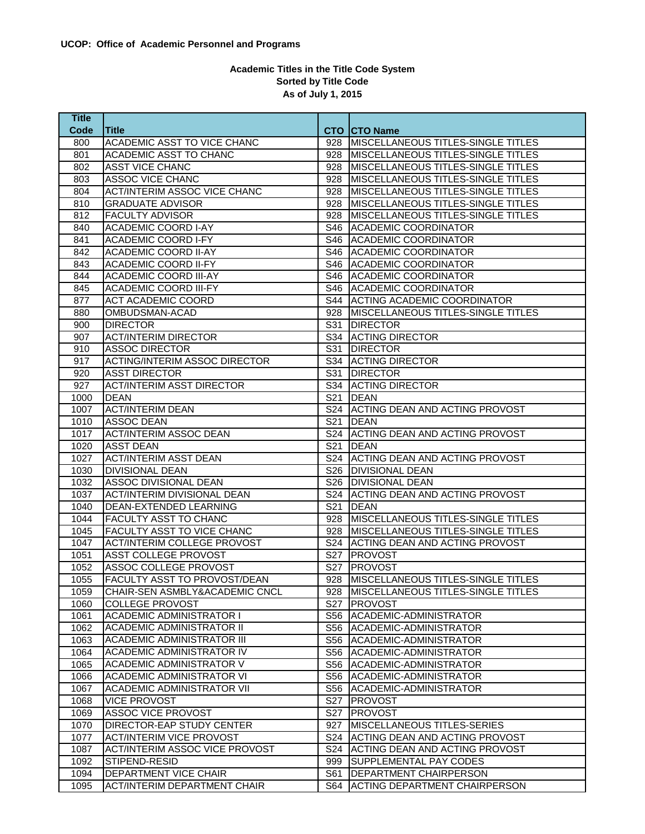## **Academic Titles in the Title Code System Sorted by Title Code As of July 1, 2015**

| <b>Title</b> |                                       |                 |                                                  |
|--------------|---------------------------------------|-----------------|--------------------------------------------------|
| Code         | <b>Title</b>                          |                 | <b>CTO CTO Name</b>                              |
| 800          | ACADEMIC ASST TO VICE CHANC           | 928             | MISCELLANEOUS TITLES-SINGLE TITLES               |
| 801          | ACADEMIC ASST TO CHANC                | 928             | <b>MISCELLANEOUS TITLES-SINGLE TITLES</b>        |
| 802          | <b>ASST VICE CHANC</b>                | 928             | <b>MISCELLANEOUS TITLES-SINGLE TITLES</b>        |
| 803          | <b>ASSOC VICE CHANC</b>               | 928             | MISCELLANEOUS TITLES-SINGLE TITLES               |
| 804          | <b>ACT/INTERIM ASSOC VICE CHANC</b>   | 928             | MISCELLANEOUS TITLES-SINGLE TITLES               |
| 810          | <b>GRADUATE ADVISOR</b>               | 928             | MISCELLANEOUS TITLES-SINGLE TITLES               |
| 812          | <b>FACULTY ADVISOR</b>                | 928             | MISCELLANEOUS TITLES-SINGLE TITLES               |
| 840          | <b>ACADEMIC COORD I-AY</b>            | S46             | <b>ACADEMIC COORDINATOR</b>                      |
| 841          | <b>ACADEMIC COORD I-FY</b>            | S46             | <b>ACADEMIC COORDINATOR</b>                      |
| 842          | <b>ACADEMIC COORD II-AY</b>           | S46             | <b>ACADEMIC COORDINATOR</b>                      |
| 843          | <b>ACADEMIC COORD II-FY</b>           | S46             | <b>ACADEMIC COORDINATOR</b>                      |
| 844          | <b>ACADEMIC COORD III-AY</b>          | S46 I           | <b>ACADEMIC COORDINATOR</b>                      |
| 845          | <b>ACADEMIC COORD III-FY</b>          | S46             | <b>ACADEMIC COORDINATOR</b>                      |
| 877          | <b>ACT ACADEMIC COORD</b>             | S44             | <b>ACTING ACADEMIC COORDINATOR</b>               |
| 880          | OMBUDSMAN-ACAD                        | 928             | <b>MISCELLANEOUS TITLES-SINGLE TITLES</b>        |
| 900          | <b>DIRECTOR</b>                       | S31             | <b>DIRECTOR</b>                                  |
| 907          | <b>ACT/INTERIM DIRECTOR</b>           | S34             | <b>ACTING DIRECTOR</b>                           |
| 910          | <b>ASSOC DIRECTOR</b>                 | S31             | <b>DIRECTOR</b>                                  |
| 917          | <b>ACTING/INTERIM ASSOC DIRECTOR</b>  | S34             | ACTING DIRECTOR                                  |
| 920          | <b>ASST DIRECTOR</b>                  | S31             | <b>DIRECTOR</b>                                  |
| 927          | <b>ACT/INTERIM ASST DIRECTOR</b>      | S34             | <b>ACTING DIRECTOR</b>                           |
| 1000         | <b>DEAN</b>                           | S <sub>21</sub> | <b>DEAN</b>                                      |
| 1007         | <b>ACT/INTERIM DEAN</b>               | S24             | <b>ACTING DEAN AND ACTING PROVOST</b>            |
| 1010         | <b>ASSOC DEAN</b>                     | S21             | <b>DEAN</b>                                      |
| 1017         | <b>ACT/INTERIM ASSOC DEAN</b>         |                 | S24 ACTING DEAN AND ACTING PROVOST               |
| 1020         | <b>ASST DEAN</b>                      | S21             | <b>DEAN</b>                                      |
| 1027         | <b>ACT/INTERIM ASST DEAN</b>          | S24             | <b>ACTING DEAN AND ACTING PROVOST</b>            |
| 1030         | <b>DIVISIONAL DEAN</b>                | S26             | <b>DIVISIONAL DEAN</b>                           |
| 1032         | ASSOC DIVISIONAL DEAN                 | S26 l           | <b>DIVISIONAL DEAN</b>                           |
| 1037         | <b>ACT/INTERIM DIVISIONAL DEAN</b>    | S24             | <b>ACTING DEAN AND ACTING PROVOST</b>            |
| 1040         | DEAN-EXTENDED LEARNING                | S21             | DEAN                                             |
| 1044         | FACULTY ASST TO CHANC                 | 928             | MISCELLANEOUS TITLES-SINGLE TITLES               |
| 1045         | FACULTY ASST TO VICE CHANC            | 928             | MISCELLANEOUS TITLES-SINGLE TITLES               |
| 1047         | <b>ACT/INTERIM COLLEGE PROVOST</b>    | S24             | ACTING DEAN AND ACTING PROVOST                   |
| 1051         | <b>ASST COLLEGE PROVOST</b>           | S <sub>27</sub> | <b>PROVOST</b>                                   |
| 1052         | ASSOC COLLEGE PROVOST                 |                 | S27 PROVOST                                      |
| 1055         | FACULTY ASST TO PROVOST/DEAN          |                 | 928   MISCELLANEOUS TITLES-SINGLE TITLES         |
| 1059         | CHAIR-SEN ASMBLY&ACADEMIC CNCL        |                 | 928   MISCELLANEOUS TITLES-SINGLE TITLES         |
| 1060         | <b>COLLEGE PROVOST</b>                | S27             | <b>PROVOST</b>                                   |
| 1061         | <b>ACADEMIC ADMINISTRATOR I</b>       |                 | S56 ACADEMIC-ADMINISTRATOR                       |
| 1062         | <b>ACADEMIC ADMINISTRATOR II</b>      |                 | S56 ACADEMIC-ADMINISTRATOR                       |
| 1063         | <b>ACADEMIC ADMINISTRATOR III</b>     |                 | S56 ACADEMIC-ADMINISTRATOR                       |
| 1064         | ACADEMIC ADMINISTRATOR IV             | S56             | ACADEMIC-ADMINISTRATOR                           |
| 1065         | ACADEMIC ADMINISTRATOR V              | S56             |                                                  |
| 1066         | ACADEMIC ADMINISTRATOR VI             | S56             | ACADEMIC-ADMINISTRATOR<br>ACADEMIC-ADMINISTRATOR |
|              | <b>ACADEMIC ADMINISTRATOR VII</b>     |                 |                                                  |
| 1067<br>1068 | <b>VICE PROVOST</b>                   |                 | S56 ACADEMIC-ADMINISTRATOR                       |
|              | <b>ASSOC VICE PROVOST</b>             |                 | S27   PROVOST                                    |
| 1069         |                                       | S27             | <b>PROVOST</b>                                   |
| 1070         | DIRECTOR-EAP STUDY CENTER             | 927             | MISCELLANEOUS TITLES-SERIES                      |
| 1077         | <b>ACT/INTERIM VICE PROVOST</b>       | S24             | <b>ACTING DEAN AND ACTING PROVOST</b>            |
| 1087         | <b>ACT/INTERIM ASSOC VICE PROVOST</b> | S24             | <b>ACTING DEAN AND ACTING PROVOST</b>            |
| 1092         | STIPEND-RESID                         | 999             | <b>SUPPLEMENTAL PAY CODES</b>                    |
| 1094         | DEPARTMENT VICE CHAIR                 | S61             | <b>DEPARTMENT CHAIRPERSON</b>                    |
| 1095         | <b>ACT/INTERIM DEPARTMENT CHAIR</b>   |                 | S64 ACTING DEPARTMENT CHAIRPERSON                |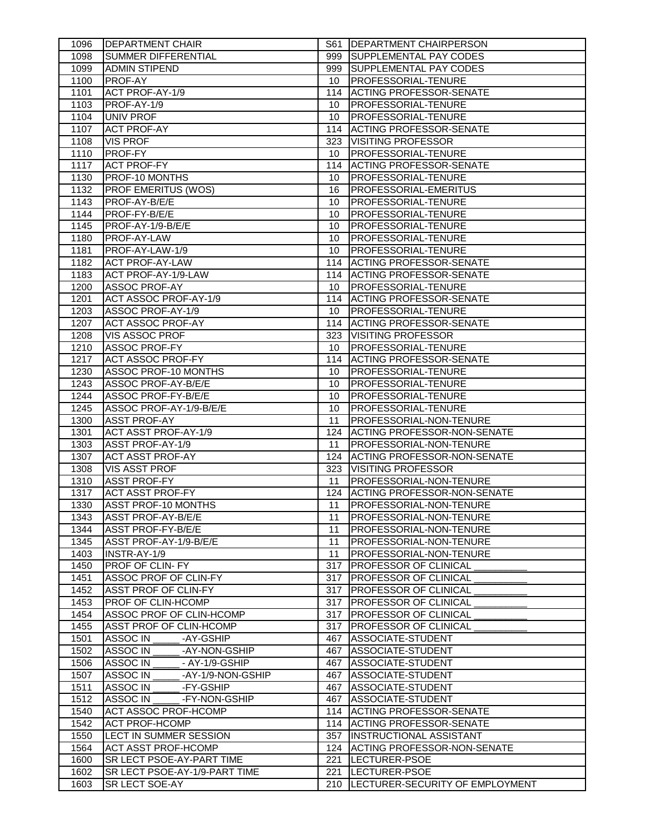| 1096 | <b>DEPARTMENT CHAIR</b>          |                 | S61   DEPARTMENT CHAIRPERSON         |
|------|----------------------------------|-----------------|--------------------------------------|
| 1098 | <b>SUMMER DIFFERENTIAL</b>       | 999             | <b>SUPPLEMENTAL PAY CODES</b>        |
| 1099 | <b>ADMIN STIPEND</b>             | 999             | <b>SUPPLEMENTAL PAY CODES</b>        |
| 1100 | PROF-AY                          | 10              | PROFESSORIAL-TENURE                  |
| 1101 | ACT PROF-AY-1/9                  | 114             | <b>ACTING PROFESSOR-SENATE</b>       |
| 1103 | PROF-AY-1/9                      | 10              | <b>PROFESSORIAL-TENURE</b>           |
| 1104 | UNIV PROF                        | 10              | PROFESSORIAL-TENURE                  |
| 1107 | <b>ACT PROF-AY</b>               | 114             | <b>ACTING PROFESSOR-SENATE</b>       |
| 1108 | <b>VIS PROF</b>                  | 323             | <b>VISITING PROFESSOR</b>            |
| 1110 | PROF-FY                          | 10              | PROFESSORIAL-TENURE                  |
| 1117 | <b>ACT PROF-FY</b>               | 114             | <b>ACTING PROFESSOR-SENATE</b>       |
| 1130 | PROF-10 MONTHS                   | 10              | <b>PROFESSORIAL-TENURE</b>           |
| 1132 | <b>PROF EMERITUS (WOS)</b>       | 16              | PROFESSORIAL-EMERITUS                |
| 1143 | PROF-AY-B/E/E                    | 10              | <b>PROFESSORIAL-TENURE</b>           |
| 1144 | PROF-FY-B/E/E                    | 10              | PROFESSORIAL-TENURE                  |
| 1145 | PROF-AY-1/9-B/E/E                | 10              | <b>PROFESSORIAL-TENURE</b>           |
| 1180 | PROF-AY-LAW                      | 10              | <b>PROFESSORIAL-TENURE</b>           |
| 1181 | PROF-AY-LAW-1/9                  | 10              | <b>PROFESSORIAL-TENURE</b>           |
| 1182 | <b>ACT PROF-AY-LAW</b>           | 114             | <b>ACTING PROFESSOR-SENATE</b>       |
| 1183 | ACT PROF-AY-1/9-LAW              | 114             | <b>ACTING PROFESSOR-SENATE</b>       |
| 1200 | <b>ASSOC PROF-AY</b>             | 10              | <b>PROFESSORIAL-TENURE</b>           |
| 1201 | ACT ASSOC PROF-AY-1/9            |                 | 114 ACTING PROFESSOR-SENATE          |
| 1203 | ASSOC PROF-AY-1/9                | 10              | <b>PROFESSORIAL-TENURE</b>           |
| 1207 | <b>ACT ASSOC PROF-AY</b>         |                 | 114 ACTING PROFESSOR-SENATE          |
| 1208 | VIS ASSOC PROF                   | 323             | <b>VISITING PROFESSOR</b>            |
| 1210 | <b>ASSOC PROF-FY</b>             | 10              | <b>PROFESSORIAL-TENURE</b>           |
| 1217 | <b>ACT ASSOC PROF-FY</b>         | 114             | <b>ACTING PROFESSOR-SENATE</b>       |
| 1230 | ASSOC PROF-10 MONTHS             | 10              | <b>PROFESSORIAL-TENURE</b>           |
| 1243 | ASSOC PROF-AY-B/E/E              | 10 <sup>°</sup> | <b>PROFESSORIAL-TENURE</b>           |
| 1244 | ASSOC PROF-FY-B/E/E              | 10              | <b>PROFESSORIAL-TENURE</b>           |
| 1245 | ASSOC PROF-AY-1/9-B/E/E          | 10              | <b>PROFESSORIAL-TENURE</b>           |
| 1300 | <b>ASST PROF-AY</b>              | 11              | <b>PROFESSORIAL-NON-TENURE</b>       |
| 1301 | ACT ASST PROF-AY-1/9             | 124             | <b>ACTING PROFESSOR-NON-SENATE</b>   |
| 1303 | ASST PROF-AY-1/9                 | 11              | PROFESSORIAL-NON-TENURE              |
| 1307 | <b>ACT ASST PROF-AY</b>          | 124             | <b>ACTING PROFESSOR-NON-SENATE</b>   |
| 1308 | <b>VIS ASST PROF</b>             | 323             | <b>VISITING PROFESSOR</b>            |
| 1310 | <b>ASST PROF-FY</b>              | 11              | <b>PROFESSORIAL-NON-TENURE</b>       |
| 1317 | <b>ACT ASST PROF-FY</b>          | 124             | ACTING PROFESSOR-NON-SENATE          |
| 1330 | <b>ASST PROF-10 MONTHS</b>       | 11              | <b>PROFESSORIAL-NON-TENURE</b>       |
| 1343 | <b>ASST PROF-AY-B/E/E</b>        | 11              | <b>PROFESSORIAL-NON-TENURE</b>       |
| 1344 | <b>ASST PROF-FY-B/E/E</b>        | 11              | <b>PROFESSORIAL-NON-TENURE</b>       |
| 1345 | ASST PROF-AY-1/9-B/E/E           | 11              | PROFESSORIAL-NON-TENURE              |
| 1403 | INSTR-AY-1/9                     | 11              | PROFESSORIAL-NON-TENURE              |
| 1450 | <b>PROF OF CLIN- FY</b>          | 317             | <b>PROFESSOR OF CLINICAL</b>         |
| 1451 | ASSOC PROF OF CLIN-FY            | 317             | <b>PROFESSOR OF CLINICAL</b>         |
| 1452 | <b>ASST PROF OF CLIN-FY</b>      | 317             | <b>PROFESSOR OF CLINICAL</b>         |
| 1453 | <b>PROF OF CLIN-HCOMP</b>        | 317             | <b>PROFESSOR OF CLINICAL</b>         |
| 1454 | ASSOC PROF OF CLIN-HCOMP         | 317             | <b>PROFESSOR OF CLINICAL</b>         |
| 1455 | ASST PROF OF CLIN-HCOMP          | 317             | <b>PROFESSOR OF CLINICAL</b>         |
| 1501 | ASSOC IN<br>-AY-GSHIP            | 467             | ASSOCIATE-STUDENT                    |
| 1502 | ASSOC IN<br>-AY-NON-GSHIP        | 467             | ASSOCIATE-STUDENT                    |
| 1506 | ASSOC IN<br>- AY-1/9-GSHIP       | 467             | ASSOCIATE-STUDENT                    |
| 1507 | ASSOC IN<br>-AY-1/9-NON-GSHIP    | 467             | ASSOCIATE-STUDENT                    |
| 1511 | ASSOC IN<br>-FY-GSHIP            | 467             | ASSOCIATE-STUDENT                    |
| 1512 | ASSOC IN<br>-FY-NON-GSHIP        | 467             | ASSOCIATE-STUDENT                    |
| 1540 | <b>ACT ASSOC PROF-HCOMP</b>      |                 | 114 ACTING PROFESSOR-SENATE          |
| 1542 | <b>ACT PROF-HCOMP</b>            |                 | 114 ACTING PROFESSOR-SENATE          |
| 1550 | LECT IN SUMMER SESSION           | 357             | INSTRUCTIONAL ASSISTANT              |
| 1564 | <b>ACT ASST PROF-HCOMP</b>       | 124             | <b>ACTING PROFESSOR-NON-SENATE</b>   |
| 1600 | <b>SR LECT PSOE-AY-PART TIME</b> | 221             | LECTURER-PSOE                        |
| 1602 | SR LECT PSOE-AY-1/9-PART TIME    | 221             | LECTURER-PSOE                        |
| 1603 | SR LECT SOE-AY                   |                 | 210  LECTURER-SECURITY OF EMPLOYMENT |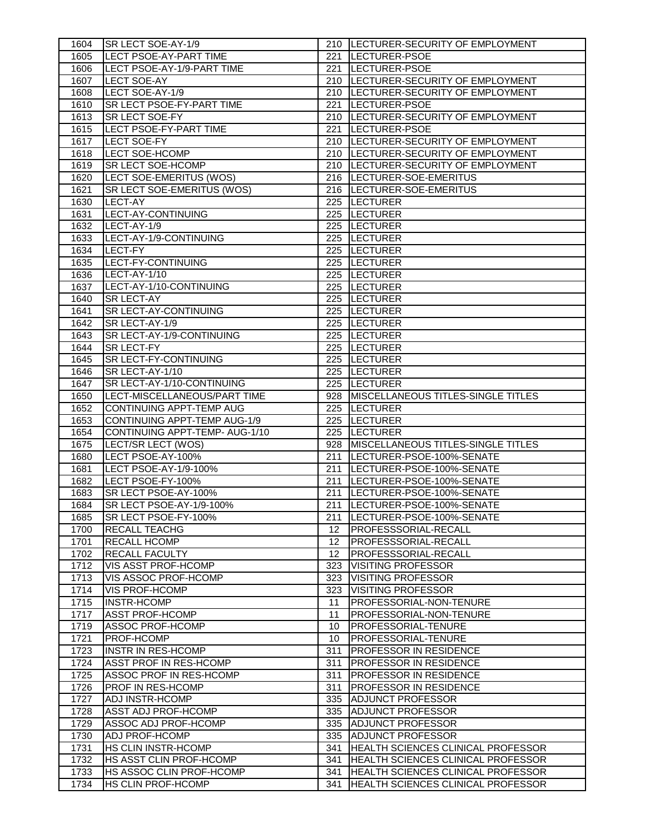| 1604 | SR LECT SOE-AY-1/9                  |                 | 210  LECTURER-SECURITY OF EMPLOYMENT      |
|------|-------------------------------------|-----------------|-------------------------------------------|
| 1605 | <b>LECT PSOE-AY-PART TIME</b>       |                 | 221 LECTURER-PSOE                         |
| 1606 | LECT PSOE-AY-1/9-PART TIME          | 221             | LECTURER-PSOE                             |
| 1607 | LECT SOE-AY                         |                 | 210  LECTURER-SECURITY OF EMPLOYMENT      |
| 1608 | LECT SOE-AY-1/9                     |                 | 210  LECTURER-SECURITY OF EMPLOYMENT      |
| 1610 | SR LECT PSOE-FY-PART TIME           | 221             | LECTURER-PSOE                             |
| 1613 | SR LECT SOE-FY                      |                 | 210  LECTURER-SECURITY OF EMPLOYMENT      |
| 1615 | LECT PSOE-FY-PART TIME              | 221             | LECTURER-PSOE                             |
| 1617 | <b>LECT SOE-FY</b>                  |                 | 210  LECTURER-SECURITY OF EMPLOYMENT      |
| 1618 | <b>LECT SOE-HCOMP</b>               |                 | 210  LECTURER-SECURITY OF EMPLOYMENT      |
| 1619 | SR LECT SOE-HCOMP                   |                 | 210  LECTURER-SECURITY OF EMPLOYMENT      |
| 1620 | LECT SOE-EMERITUS (WOS)             |                 | 216  LECTURER-SOE-EMERITUS                |
| 1621 | SR LECT SOE-EMERITUS (WOS)          |                 | 216 LECTURER-SOE-EMERITUS                 |
| 1630 | <b>LECT-AY</b>                      |                 | 225  LECTURER                             |
| 1631 | LECT-AY-CONTINUING                  |                 | 225  LECTURER                             |
| 1632 | LECT-AY-1/9                         |                 | 225  LECTURER                             |
| 1633 | LECT-AY-1/9-CONTINUING              |                 | 225  LECTURER                             |
| 1634 | LECT-FY                             |                 | 225  LECTURER                             |
| 1635 | LECT-FY-CONTINUING                  |                 | 225  LECTURER                             |
| 1636 | LECT-AY-1/10                        |                 | 225  LECTURER                             |
| 1637 | LECT-AY-1/10-CONTINUING             |                 | 225  LECTURER                             |
| 1640 | SR LECT-AY                          |                 | 225  LECTURER                             |
| 1641 | SR LECT-AY-CONTINUING               |                 | 225  LECTURER                             |
| 1642 | SR LECT-AY-1/9                      |                 | 225  LECTURER                             |
| 1643 | SR LECT-AY-1/9-CONTINUING           |                 | 225  LECTURER                             |
| 1644 | <b>SR LECT-FY</b>                   |                 | 225  LECTURER                             |
| 1645 | SR LECT-FY-CONTINUING               |                 | 225  LECTURER                             |
| 1646 | SR LECT-AY-1/10                     |                 | 225  LECTURER                             |
| 1647 | SR LECT-AY-1/10-CONTINUING          |                 | 225  LECTURER                             |
| 1650 | LECT-MISCELLANEOUS/PART TIME        |                 | 928 MISCELLANEOUS TITLES-SINGLE TITLES    |
| 1652 | <b>CONTINUING APPT-TEMP AUG</b>     |                 | 225  LECTURER                             |
| 1653 | <b>CONTINUING APPT-TEMP AUG-1/9</b> |                 | 225  LECTURER                             |
| 1654 | CONTINUING APPT-TEMP- AUG-1/10      |                 | 225  LECTURER                             |
|      |                                     |                 |                                           |
| 1675 | LECT/SR LECT (WOS)                  | 928             | <b>MISCELLANEOUS TITLES-SINGLE TITLES</b> |
| 1680 | LECT PSOE-AY-100%                   | 211             | LECTURER-PSOE-100%-SENATE                 |
| 1681 | LECT PSOE-AY-1/9-100%               | 211             | LECTURER-PSOE-100%-SENATE                 |
| 1682 | LECT PSOE-FY-100%                   | 211             | LECTURER-PSOE-100%-SENATE                 |
| 1683 | SR LECT PSOE-AY-100%                |                 | 211  LECTURER-PSOE-100%-SENATE            |
| 1684 | SR LECT PSOE-AY-1/9-100%            |                 | 211  LECTURER-PSOE-100%-SENATE            |
| 1685 | SR LECT PSOE-FY-100%                |                 | 211  LECTURER-PSOE-100%-SENATE            |
| 1700 | RECALL TEACHG                       | 12              | PROFESSSORIAL-RECALL                      |
| 1701 | <b>RECALL HCOMP</b>                 | 12 <sup>°</sup> | PROFESSSORIAL-RECALL                      |
| 1702 | <b>RECALL FACULTY</b>               | 12              | PROFESSSORIAL-RECALL                      |
| 1712 | VIS ASST PROF-HCOMP                 | 323             | <b>VISITING PROFESSOR</b>                 |
| 1713 | VIS ASSOC PROF-HCOMP                | 323             | <b>VISITING PROFESSOR</b>                 |
| 1714 | VIS PROF-HCOMP                      | 323             | <b>VISITING PROFESSOR</b>                 |
| 1715 | <b>INSTR-HCOMP</b>                  | 11              | PROFESSORIAL-NON-TENURE                   |
| 1717 | <b>ASST PROF-HCOMP</b>              | 11              | PROFESSORIAL-NON-TENURE                   |
| 1719 | ASSOC PROF-HCOMP                    | 10              | PROFESSORIAL-TENURE                       |
| 1721 | PROF-HCOMP                          | 10              | <b>PROFESSORIAL-TENURE</b>                |
| 1723 | <b>INSTR IN RES-HCOMP</b>           | 311             | <b>PROFESSOR IN RESIDENCE</b>             |
| 1724 | ASST PROF IN RES-HCOMP              | 311             | <b>PROFESSOR IN RESIDENCE</b>             |
| 1725 | ASSOC PROF IN RES-HCOMP             | 311             | <b>PROFESSOR IN RESIDENCE</b>             |
| 1726 | PROF IN RES-HCOMP                   | 311             | <b>PROFESSOR IN RESIDENCE</b>             |
| 1727 | ADJ INSTR-HCOMP                     | 335             | <b>ADJUNCT PROFESSOR</b>                  |
| 1728 | ASST ADJ PROF-HCOMP                 | 335             | ADJUNCT PROFESSOR                         |
| 1729 | ASSOC ADJ PROF-HCOMP                | 335             | ADJUNCT PROFESSOR                         |
| 1730 | <b>ADJ PROF-HCOMP</b>               | 335             | ADJUNCT PROFESSOR                         |
| 1731 | <b>HS CLIN INSTR-HCOMP</b>          | 341             | HEALTH SCIENCES CLINICAL PROFESSOR        |
| 1732 | HS ASST CLIN PROF-HCOMP             | 341             | HEALTH SCIENCES CLINICAL PROFESSOR        |
| 1733 | HS ASSOC CLIN PROF-HCOMP            | 341             | HEALTH SCIENCES CLINICAL PROFESSOR        |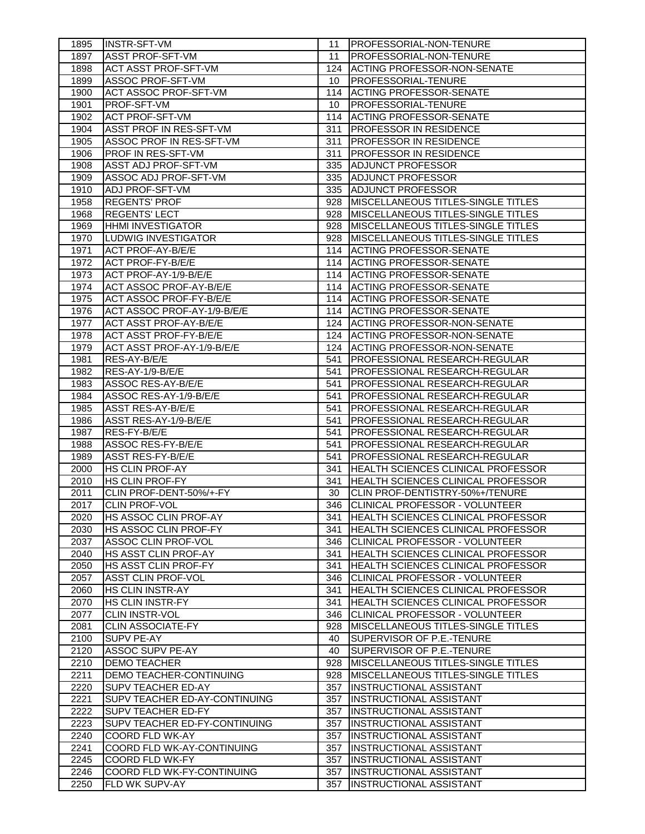| 1895 | <b>INSTR-SFT-VM</b>                  | 11  | <b>IPROFESSORIAL-NON-TENURE</b>           |
|------|--------------------------------------|-----|-------------------------------------------|
| 1897 | <b>ASST PROF-SFT-VM</b>              | 11  | PROFESSORIAL-NON-TENURE                   |
| 1898 | <b>ACT ASST PROF-SFT-VM</b>          | 124 | ACTING PROFESSOR-NON-SENATE               |
| 1899 | <b>ASSOC PROF-SFT-VM</b>             | 10  | <b>PROFESSORIAL-TENURE</b>                |
| 1900 | <b>ACT ASSOC PROF-SFT-VM</b>         | 114 | <b>ACTING PROFESSOR-SENATE</b>            |
| 1901 | <b>PROF-SFT-VM</b>                   | 10  | <b>PROFESSORIAL-TENURE</b>                |
| 1902 | <b>ACT PROF-SFT-VM</b>               | 114 | IACTING PROFESSOR-SENATE                  |
| 1904 | <b>ASST PROF IN RES-SFT-VM</b>       | 311 | <b>PROFESSOR IN RESIDENCE</b>             |
| 1905 | ASSOC PROF IN RES-SFT-VM             | 311 | <b>PROFESSOR IN RESIDENCE</b>             |
| 1906 | <b>PROF IN RES-SFT-VM</b>            | 311 | PROFESSOR IN RESIDENCE                    |
| 1908 | <b>ASST ADJ PROF-SFT-VM</b>          | 335 | <b>ADJUNCT PROFESSOR</b>                  |
| 1909 | ASSOC ADJ PROF-SFT-VM                | 335 | <b>ADJUNCT PROFESSOR</b>                  |
| 1910 | <b>ADJ PROF-SFT-VM</b>               | 335 | <b>ADJUNCT PROFESSOR</b>                  |
| 1958 | <b>REGENTS' PROF</b>                 | 928 | <b>MISCELLANEOUS TITLES-SINGLE TITLES</b> |
| 1968 | <b>REGENTS' LECT</b>                 | 928 | MISCELLANEOUS TITLES-SINGLE TITLES        |
| 1969 | <b>HHMI INVESTIGATOR</b>             | 928 | <b>MISCELLANEOUS TITLES-SINGLE TITLES</b> |
| 1970 | LUDWIG INVESTIGATOR                  | 928 | <b>MISCELLANEOUS TITLES-SINGLE TITLES</b> |
| 1971 | <b>ACT PROF-AY-B/E/E</b>             | 114 | <b>ACTING PROFESSOR-SENATE</b>            |
| 1972 | <b>ACT PROF-FY-B/E/E</b>             | 114 | <b>ACTING PROFESSOR-SENATE</b>            |
| 1973 | ACT PROF-AY-1/9-B/E/E                |     | 114 ACTING PROFESSOR-SENATE               |
| 1974 | ACT ASSOC PROF-AY-B/E/E              |     | 114 ACTING PROFESSOR-SENATE               |
| 1975 | ACT ASSOC PROF-FY-B/E/E              |     | 114 ACTING PROFESSOR-SENATE               |
| 1976 | ACT ASSOC PROF-AY-1/9-B/E/E          |     | 114 ACTING PROFESSOR-SENATE               |
| 1977 | <b>ACT ASST PROF-AY-B/E/E</b>        | 124 | ACTING PROFESSOR-NON-SENATE               |
| 1978 | ACT ASST PROF-FY-B/E/E               | 124 | <b>ACTING PROFESSOR-NON-SENATE</b>        |
| 1979 | ACT ASST PROF-AY-1/9-B/E/E           |     | 124 ACTING PROFESSOR-NON-SENATE           |
| 1981 | RES-AY-B/E/E                         | 541 | <b>PROFESSIONAL RESEARCH-REGULAR</b>      |
| 1982 | RES-AY-1/9-B/E/E                     | 541 | <b>PROFESSIONAL RESEARCH-REGULAR</b>      |
| 1983 | ASSOC RES-AY-B/E/E                   | 541 | PROFESSIONAL RESEARCH-REGULAR             |
| 1984 | ASSOC RES-AY-1/9-B/E/E               | 541 | <b>PROFESSIONAL RESEARCH-REGULAR</b>      |
| 1985 | <b>ASST RES-AY-B/E/E</b>             | 541 | PROFESSIONAL RESEARCH-REGULAR             |
| 1986 | ASST RES-AY-1/9-B/E/E                | 541 | PROFESSIONAL RESEARCH-REGULAR             |
| 1987 | RES-FY-B/E/E                         | 541 | <b>PROFESSIONAL RESEARCH-REGULAR</b>      |
| 1988 | ASSOC RES-FY-B/E/E                   | 541 | PROFESSIONAL RESEARCH-REGULAR             |
| 1989 | ASST RES-FY-B/E/E                    | 541 | PROFESSIONAL RESEARCH-REGULAR             |
| 2000 | IHS CLIN PROF-AY                     | 341 | HEALTH SCIENCES CLINICAL PROFESSOR        |
| 2010 | <b>HS CLIN PROF-FY</b>               | 341 | HEALTH SCIENCES CLINICAL PROFESSOR        |
| 2011 | CLIN PROF-DENT-50%/+-FY              | 30  | CLIN PROF-DENTISTRY-50%+/TENURE           |
| 2017 | <b>CLIN PROF-VOL</b>                 | 346 | CLINICAL PROFESSOR - VOLUNTEER            |
| 2020 | HS ASSOC CLIN PROF-AY                |     | 341 HEALTH SCIENCES CLINICAL PROFESSOR    |
| 2030 | HS ASSOC CLIN PROF-FY                | 341 | <b>HEALTH SCIENCES CLINICAL PROFESSOR</b> |
| 2037 | ASSOC CLIN PROF-VOL                  |     | 346 CLINICAL PROFESSOR - VOLUNTEER        |
| 2040 | <b>HS ASST CLIN PROF-AY</b>          | 341 | <b>HEALTH SCIENCES CLINICAL PROFESSOR</b> |
| 2050 | HS ASST CLIN PROF-FY                 | 341 | HEALTH SCIENCES CLINICAL PROFESSOR        |
| 2057 | <b>ASST CLIN PROF-VOL</b>            | 346 | CLINICAL PROFESSOR - VOLUNTEER            |
| 2060 | <b>HS CLIN INSTR-AY</b>              | 341 | <b>HEALTH SCIENCES CLINICAL PROFESSOR</b> |
| 2070 | <b>HS CLIN INSTR-FY</b>              | 341 | HEALTH SCIENCES CLINICAL PROFESSOR        |
| 2077 | <b>CLIN INSTR-VOL</b>                | 346 | CLINICAL PROFESSOR - VOLUNTEER            |
| 2081 | <b>CLIN ASSOCIATE-FY</b>             | 928 | <b>MISCELLANEOUS TITLES-SINGLE TITLES</b> |
| 2100 | <b>SUPV PE-AY</b>                    | 40  | SUPERVISOR OF P.E.-TENURE                 |
| 2120 | ASSOC SUPV PE-AY                     | 40  | SUPERVISOR OF P.E.-TENURE                 |
| 2210 | <b>DEMO TEACHER</b>                  | 928 | <b>MISCELLANEOUS TITLES-SINGLE TITLES</b> |
| 2211 | DEMO TEACHER-CONTINUING              | 928 | MISCELLANEOUS TITLES-SINGLE TITLES        |
| 2220 | <b>SUPV TEACHER ED-AY</b>            | 357 | <b>INSTRUCTIONAL ASSISTANT</b>            |
| 2221 | <b>SUPV TEACHER ED-AY-CONTINUING</b> | 357 | <b>INSTRUCTIONAL ASSISTANT</b>            |
| 2222 | <b>SUPV TEACHER ED-FY</b>            | 357 | <b>INSTRUCTIONAL ASSISTANT</b>            |
| 2223 | SUPV TEACHER ED-FY-CONTINUING        | 357 | INSTRUCTIONAL ASSISTANT                   |
| 2240 | COORD FLD WK-AY                      | 357 | INSTRUCTIONAL ASSISTANT                   |
| 2241 | COORD FLD WK-AY-CONTINUING           | 357 | <b>INSTRUCTIONAL ASSISTANT</b>            |
| 2245 | <b>COORD FLD WK-FY</b>               | 357 | <b>INSTRUCTIONAL ASSISTANT</b>            |
| 2246 | COORD FLD WK-FY-CONTINUING           | 357 | <b>INSTRUCTIONAL ASSISTANT</b>            |
| 2250 | FLD WK SUPV-AY                       | 357 | <b>INSTRUCTIONAL ASSISTANT</b>            |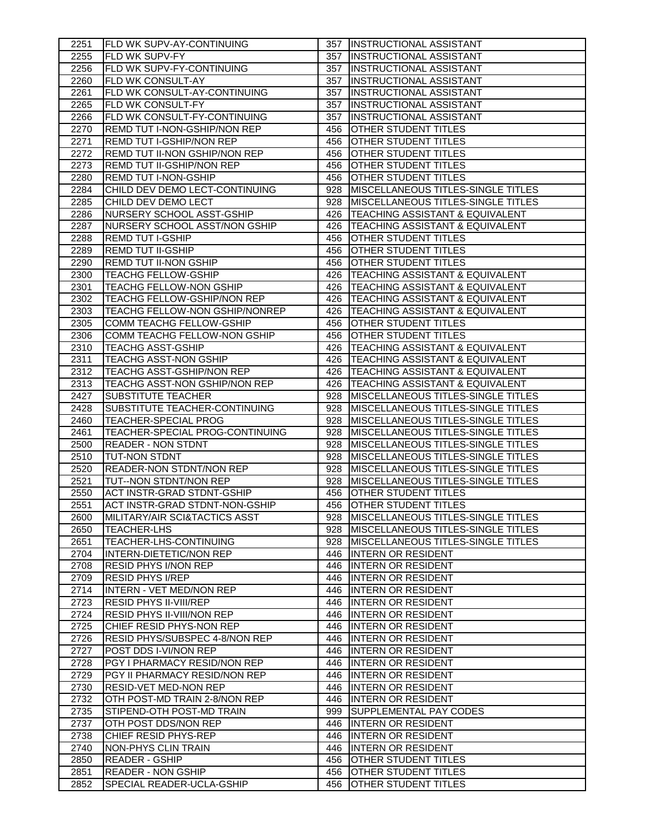| 2251         | FLD WK SUPV-AY-CONTINUING                                 |            | 357  INSTRUCTIONAL ASSISTANT                                                    |
|--------------|-----------------------------------------------------------|------------|---------------------------------------------------------------------------------|
| 2255         | FLD WK SUPV-FY                                            | 357        | <b>INSTRUCTIONAL ASSISTANT</b>                                                  |
| 2256         | FLD WK SUPV-FY-CONTINUING                                 | 357        | <b>INSTRUCTIONAL ASSISTANT</b>                                                  |
| 2260         | <b>FLD WK CONSULT-AY</b>                                  | 357        | <b>INSTRUCTIONAL ASSISTANT</b>                                                  |
| 2261         | FLD WK CONSULT-AY-CONTINUING                              | 357        | <b>INSTRUCTIONAL ASSISTANT</b>                                                  |
| 2265         | FLD WK CONSULT-FY                                         | 357        | <b>INSTRUCTIONAL ASSISTANT</b>                                                  |
| 2266         | FLD WK CONSULT-FY-CONTINUING                              | 357        | <b>INSTRUCTIONAL ASSISTANT</b>                                                  |
| 2270         | REMD TUT I-NON-GSHIP/NON REP                              | 456        | OTHER STUDENT TITLES                                                            |
| 2271         | <b>REMD TUT I-GSHIP/NON REP</b>                           | 456        | <b>OTHER STUDENT TITLES</b>                                                     |
| 2272         | REMD TUT II-NON GSHIP/NON REP                             | 456        | OTHER STUDENT TITLES                                                            |
| 2273         | <b>REMD TUT II-GSHIP/NON REP</b>                          | 456        | <b>OTHER STUDENT TITLES</b>                                                     |
| 2280         | <b>REMD TUT I-NON-GSHIP</b>                               | 456        | <b>OTHER STUDENT TITLES</b>                                                     |
| 2284         | CHILD DEV DEMO LECT-CONTINUING                            | 928        | <b>MISCELLANEOUS TITLES-SINGLE TITLES</b>                                       |
| 2285         | CHILD DEV DEMO LECT                                       | 928        | MISCELLANEOUS TITLES-SINGLE TITLES                                              |
| 2286         | NURSERY SCHOOL ASST-GSHIP                                 | 426        | TEACHING ASSISTANT & EQUIVALENT                                                 |
| 2287         | NURSERY SCHOOL ASST/NON GSHIP                             | 426        | TEACHING ASSISTANT & EQUIVALENT                                                 |
| 2288         | <b>REMD TUT I-GSHIP</b>                                   | 456        | OTHER STUDENT TITLES                                                            |
| 2289         | <b>REMD TUT II-GSHIP</b>                                  | 456        | OTHER STUDENT TITLES                                                            |
| 2290         | REMD TUT II-NON GSHIP                                     | 456        | <b>OTHER STUDENT TITLES</b>                                                     |
| 2300         | <b>TEACHG FELLOW-GSHIP</b>                                | 426        | TEACHING ASSISTANT & EQUIVALENT                                                 |
| 2301         | <b>TEACHG FELLOW-NON GSHIP</b>                            | 426        | <b>TEACHING ASSISTANT &amp; EQUIVALENT</b>                                      |
| 2302         | TEACHG FELLOW-GSHIP/NON REP                               | 426        | TEACHING ASSISTANT & EQUIVALENT                                                 |
| 2303         | TEACHG FELLOW-NON GSHIP/NONREP                            | 426        | <b>TEACHING ASSISTANT &amp; EQUIVALENT</b>                                      |
| 2305         | COMM TEACHG FELLOW-GSHIP                                  | 456        | <b>OTHER STUDENT TITLES</b>                                                     |
| 2306         | COMM TEACHG FELLOW-NON GSHIP                              | 456        | <b>OTHER STUDENT TITLES</b>                                                     |
| 2310         | <b>TEACHG ASST-GSHIP</b>                                  | 426        | TEACHING ASSISTANT & EQUIVALENT                                                 |
| 2311         | TEACHG ASST-NON GSHIP                                     | 426        | TEACHING ASSISTANT & EQUIVALENT                                                 |
| 2312         | TEACHG ASST-GSHIP/NON REP                                 | 426        | TEACHING ASSISTANT & EQUIVALENT                                                 |
| 2313         | TEACHG ASST-NON GSHIP/NON REP                             | 426        | <b>TEACHING ASSISTANT &amp; EQUIVALENT</b>                                      |
| 2427         | <b>SUBSTITUTE TEACHER</b>                                 | 928        | <b>MISCELLANEOUS TITLES-SINGLE TITLES</b>                                       |
| 2428         | SUBSTITUTE TEACHER-CONTINUING                             | 928        | <b>MISCELLANEOUS TITLES-SINGLE TITLES</b>                                       |
| 2460         | <b>TEACHER-SPECIAL PROG</b>                               | 928        | <b>MISCELLANEOUS TITLES-SINGLE TITLES</b>                                       |
| 2461         | TEACHER-SPECIAL PROG-CONTINUING                           | 928        | <b>MISCELLANEOUS TITLES-SINGLE TITLES</b>                                       |
| 2500         | <b>READER - NON STDNT</b>                                 | 928        | MISCELLANEOUS TITLES-SINGLE TITLES                                              |
| 2510<br>2520 | <b>TUT-NON STDNT</b>                                      | 928<br>928 | MISCELLANEOUS TITLES-SINGLE TITLES<br><b>MISCELLANEOUS TITLES-SINGLE TITLES</b> |
| 2521         | <b>READER-NON STDNT/NON REP</b><br>TUT--NON STDNT/NON REP | 928        | <b>IMISCELLANEOUS TITLES-SINGLE TITLES</b>                                      |
| 2550         | <b>ACT INSTR-GRAD STDNT-GSHIP</b>                         | 456        | <b>OTHER STUDENT TITLES</b>                                                     |
| 2551         | ACT INSTR-GRAD STDNT-NON-GSHIP                            | 456        | <b>OTHER STUDENT TITLES</b>                                                     |
| 2600         | MILITARY/AIR SCI&TACTICS ASST                             |            | 928   MISCELLANEOUS TITLES-SINGLE TITLES                                        |
| 2650         | <b>TEACHER-LHS</b>                                        | 928        | <b>MISCELLANEOUS TITLES-SINGLE TITLES</b>                                       |
| 2651         | TEACHER-LHS-CONTINUING                                    |            | 928   MISCELLANEOUS TITLES-SINGLE TITLES                                        |
| 2704         | INTERN-DIETETIC/NON REP                                   | 446        | <b>INTERN OR RESIDENT</b>                                                       |
| 2708         | RESID PHYS I/NON REP                                      | 446        | <b>INTERN OR RESIDENT</b>                                                       |
| 2709         | <b>RESID PHYS I/REP</b>                                   | 446        | <b>INTERN OR RESIDENT</b>                                                       |
| 2714         | <b>INTERN - VET MED/NON REP</b>                           | 446        | <b>INTERN OR RESIDENT</b>                                                       |
| 2723         | <b>RESID PHYS II-VIII/REP</b>                             |            | 446   INTERN OR RESIDENT                                                        |
| 2724         | <b>RESID PHYS II-VIII/NON REP</b>                         |            | 446 INTERN OR RESIDENT                                                          |
| 2725         | CHIEF RESID PHYS-NON REP                                  |            | 446 INTERN OR RESIDENT                                                          |
| 2726         | RESID PHYS/SUBSPEC 4-8/NON REP                            |            | 446 INTERN OR RESIDENT                                                          |
| 2727         | POST DDS I-VI/NON REP                                     |            | 446 INTERN OR RESIDENT                                                          |
| 2728         | PGY I PHARMACY RESID/NON REP                              |            | 446 INTERN OR RESIDENT                                                          |
| 2729         | PGY II PHARMACY RESID/NON REP                             |            | 446 INTERN OR RESIDENT                                                          |
| 2730         | <b>RESID-VET MED-NON REP</b>                              | 446        | <b>INTERN OR RESIDENT</b>                                                       |
| 2732         | OTH POST-MD TRAIN 2-8/NON REP                             | 446        | <b>INTERN OR RESIDENT</b>                                                       |
| 2735         | STIPEND-OTH POST-MD TRAIN                                 | 999        | SUPPLEMENTAL PAY CODES                                                          |
| 2737         | OTH POST DDS/NON REP                                      | 446        | <b>INTERN OR RESIDENT</b>                                                       |
| 2738         | CHIEF RESID PHYS-REP                                      | 446        | <b>INTERN OR RESIDENT</b>                                                       |
| 2740         | NON-PHYS CLIN TRAIN                                       | 446        | <b>INTERN OR RESIDENT</b>                                                       |
| 2850         | <b>READER - GSHIP</b>                                     | 456        | OTHER STUDENT TITLES                                                            |
| 2851         | <b>READER - NON GSHIP</b>                                 | 456        | <b>OTHER STUDENT TITLES</b>                                                     |
| 2852         | SPECIAL READER-UCLA-GSHIP                                 | 456        | <b>OTHER STUDENT TITLES</b>                                                     |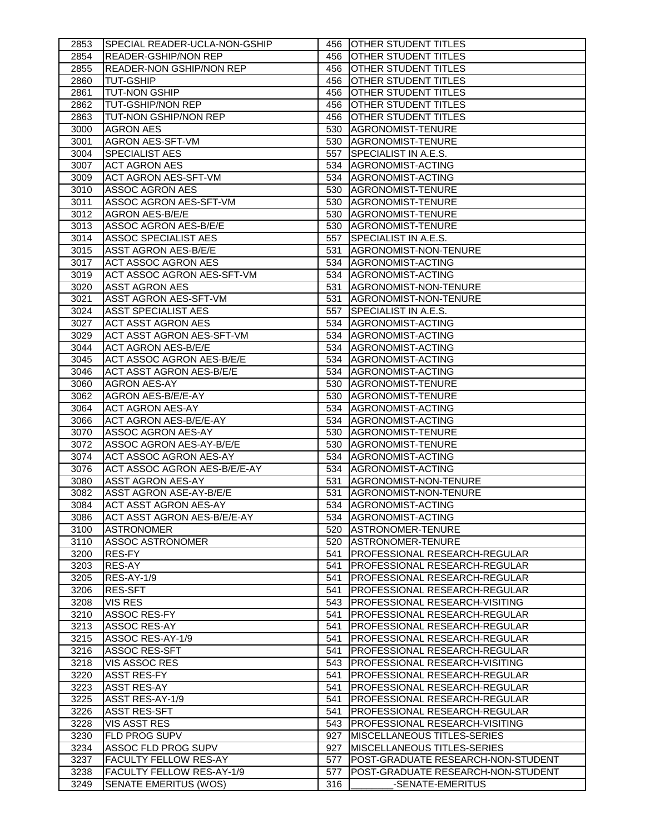| 2853         | SPECIAL READER-UCLA-NON-GSHIP                      |            | 456 <b>JOTHER STUDENT TITLES</b>                       |
|--------------|----------------------------------------------------|------------|--------------------------------------------------------|
| 2854         | READER-GSHIP/NON REP                               | 456        | OTHER STUDENT TITLES                                   |
| 2855         | <b>READER-NON GSHIP/NON REP</b>                    | 456        | OTHER STUDENT TITLES                                   |
| 2860         | <b>TUT-GSHIP</b>                                   | 456        | <b>OTHER STUDENT TITLES</b>                            |
| 2861         | <b>TUT-NON GSHIP</b>                               | 456        | <b>OTHER STUDENT TITLES</b>                            |
| 2862         | <b>TUT-GSHIP/NON REP</b>                           | 456        | <b>OTHER STUDENT TITLES</b>                            |
| 2863         | TUT-NON GSHIP/NON REP                              | 456        | <b>OTHER STUDENT TITLES</b>                            |
| 3000         | <b>AGRON AES</b>                                   | 530        | <b>AGRONOMIST-TENURE</b>                               |
| 3001         | <b>AGRON AES-SFT-VM</b>                            | 530        | AGRONOMIST-TENURE                                      |
| 3004         | <b>SPECIALIST AES</b>                              | 557        | <b>SPECIALIST IN A.E.S.</b>                            |
| 3007         | <b>ACT AGRON AES</b>                               | 534        | AGRONOMIST-ACTING                                      |
| 3009         | <b>ACT AGRON AES-SFT-VM</b>                        | 534        | AGRONOMIST-ACTING                                      |
| 3010         | <b>ASSOC AGRON AES</b>                             | 530        | AGRONOMIST-TENURE                                      |
| 3011         | ASSOC AGRON AES-SFT-VM                             | 530        | AGRONOMIST-TENURE                                      |
| 3012         | AGRON AES-B/E/E                                    | 530        | AGRONOMIST-TENURE                                      |
| 3013         | ASSOC AGRON AES-B/E/E                              | 530        | AGRONOMIST-TENURE                                      |
| 3014         | ASSOC SPECIALIST AES                               | 557        | SPECIALIST IN A.E.S.                                   |
| 3015         | <b>ASST AGRON AES-B/E/E</b>                        | 531        | AGRONOMIST-NON-TENURE                                  |
| 3017         | <b>ACT ASSOC AGRON AES</b>                         | 534        | AGRONOMIST-ACTING                                      |
| 3019         | ACT ASSOC AGRON AES-SFT-VM                         | 534        | AGRONOMIST-ACTING                                      |
| 3020         | <b>ASST AGRON AES</b>                              | 531        | AGRONOMIST-NON-TENURE                                  |
| 3021         | <b>ASST AGRON AES-SFT-VM</b>                       | 531        | AGRONOMIST-NON-TENURE                                  |
| 3024         | <b>ASST SPECIALIST AES</b>                         | 557        | SPECIALIST IN A.E.S.                                   |
| 3027         | <b>ACT ASST AGRON AES</b>                          | 534        | AGRONOMIST-ACTING                                      |
| 3029         | <b>ACT ASST AGRON AES-SFT-VM</b>                   | 534        | AGRONOMIST-ACTING                                      |
| 3044         | <b>ACT AGRON AES-B/E/E</b>                         | 534        | AGRONOMIST-ACTING                                      |
| 3045         | ACT ASSOC AGRON AES-B/E/E                          | 534        | AGRONOMIST-ACTING                                      |
| 3046         | <b>ACT ASST AGRON AES-B/E/E</b>                    | 534        | AGRONOMIST-ACTING                                      |
| 3060         | <b>AGRON AES-AY</b>                                | 530        | <b>AGRONOMIST-TENURE</b>                               |
| 3062         | AGRON AES-B/E/E-AY                                 | 530        | <b>AGRONOMIST-TENURE</b>                               |
| 3064         | <b>ACT AGRON AES-AY</b>                            | 534        | AGRONOMIST-ACTING                                      |
|              |                                                    |            |                                                        |
| 3066         | <b>ACT AGRON AES-B/E/E-AY</b>                      | 534        | AGRONOMIST-ACTING                                      |
| 3070         | ASSOC AGRON AES-AY                                 | 530        | AGRONOMIST-TENURE                                      |
| 3072         | ASSOC AGRON AES-AY-B/E/E                           | 530        | AGRONOMIST-TENURE                                      |
| 3074         | <b>ACT ASSOC AGRON AES-AY</b>                      | 534        | AGRONOMIST-ACTING                                      |
| 3076         | ACT ASSOC AGRON AES-B/E/E-AY                       | 534        | AGRONOMIST-ACTING                                      |
| 3080         | ASST AGRON AES-AY                                  | 531        | AGRONOMIST-NON-TENURE                                  |
| 3082         | ASST AGRON ASE-AY-B/E/E                            | 531        | AGRONOMIST-NON-TENURE                                  |
| 3084         | <b>ACT ASST AGRON AES-AY</b>                       |            | 534 AGRONOMIST-ACTING                                  |
| 3086         | ACT ASST AGRON AES-B/E/E-AY                        | 534        | AGRONOMIST-ACTING                                      |
| 3100         | <b>ASTRONOMER</b>                                  | 520        | ASTRONOMER-TENURE                                      |
| 3110         | <b>ASSOC ASTRONOMER</b>                            | 520        | ASTRONOMER-TENURE                                      |
| 3200         | RES-FY                                             | 541        | PROFESSIONAL RESEARCH-REGULAR                          |
| 3203         | RES-AY                                             | 541        | PROFESSIONAL RESEARCH-REGULAR                          |
| 3205         | RES-AY-1/9                                         | 541        | PROFESSIONAL RESEARCH-REGULAR                          |
| 3206         | <b>RES-SFT</b>                                     | 541        | PROFESSIONAL RESEARCH-REGULAR                          |
| 3208         | <b>VIS RES</b>                                     | 543        | PROFESSIONAL RESEARCH-VISITING                         |
| 3210         | ASSOC RES-FY                                       | 541        | PROFESSIONAL RESEARCH-REGULAR                          |
| 3213         | ASSOC RES-AY                                       | 541        | PROFESSIONAL RESEARCH-REGULAR                          |
| 3215         | ASSOC RES-AY-1/9                                   | 541        | PROFESSIONAL RESEARCH-REGULAR                          |
| 3216         | <b>ASSOC RES-SFT</b>                               | 541        | PROFESSIONAL RESEARCH-REGULAR                          |
| 3218         | VIS ASSOC RES                                      | 543        | PROFESSIONAL RESEARCH-VISITING                         |
| 3220         | <b>ASST RES-FY</b>                                 | 541        | PROFESSIONAL RESEARCH-REGULAR                          |
| 3223         | <b>ASST RES-AY</b>                                 | 541        | PROFESSIONAL RESEARCH-REGULAR                          |
| 3225         | ASST RES-AY-1/9                                    | 541        | PROFESSIONAL RESEARCH-REGULAR                          |
| 3226         | <b>ASST RES-SFT</b>                                | 541        | PROFESSIONAL RESEARCH-REGULAR                          |
| 3228         | <b>VIS ASST RES</b>                                | 543        | <b>PROFESSIONAL RESEARCH-VISITING</b>                  |
| 3230         | <b>FLD PROG SUPV</b>                               | 927        | <b>MISCELLANEOUS TITLES-SERIES</b>                     |
| 3234         | ASSOC FLD PROG SUPV                                | 927        | <b>MISCELLANEOUS TITLES-SERIES</b>                     |
| 3237         | <b>FACULTY FELLOW RES-AY</b>                       | 577        | POST-GRADUATE RESEARCH-NON-STUDENT                     |
| 3238<br>3249 | FACULTY FELLOW RES-AY-1/9<br>SENATE EMERITUS (WOS) | 577<br>316 | POST-GRADUATE RESEARCH-NON-STUDENT<br>-SENATE-EMERITUS |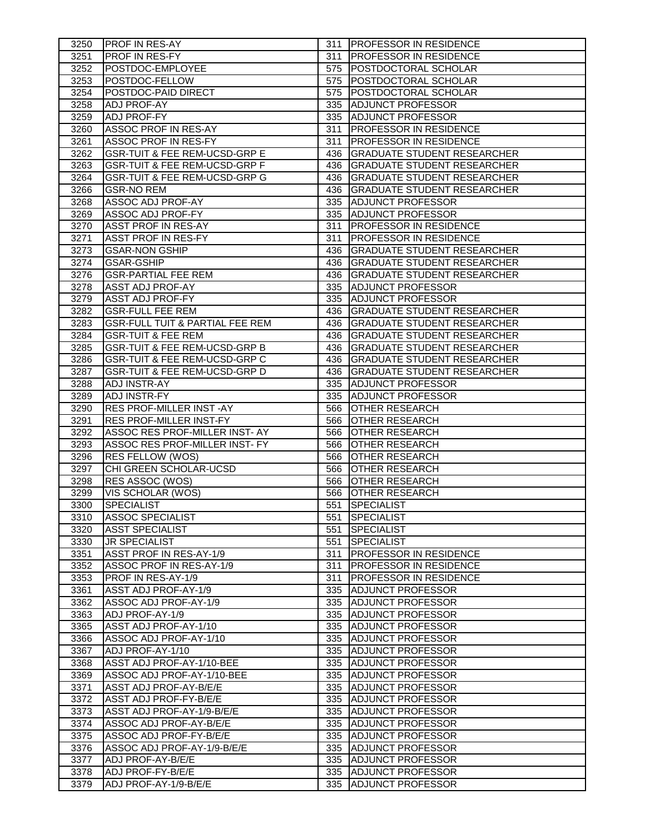| 3250 | <b>PROF IN RES-AY</b>                      |     | 311 <b>IPROFESSOR IN RESIDENCE</b> |
|------|--------------------------------------------|-----|------------------------------------|
| 3251 | <b>PROF IN RES-FY</b>                      |     | 311   PROFESSOR IN RESIDENCE       |
| 3252 | POSTDOC-EMPLOYEE                           |     | 575   POSTDOCTORAL SCHOLAR         |
| 3253 | POSTDOC-FELLOW                             | 575 | <b>POSTDOCTORAL SCHOLAR</b>        |
| 3254 | POSTDOC-PAID DIRECT                        | 575 | <b>POSTDOCTORAL SCHOLAR</b>        |
| 3258 | <b>ADJ PROF-AY</b>                         | 335 | <b>ADJUNCT PROFESSOR</b>           |
| 3259 | ADJ PROF-FY                                | 335 | <b>ADJUNCT PROFESSOR</b>           |
| 3260 | ASSOC PROF IN RES-AY                       | 311 | <b>PROFESSOR IN RESIDENCE</b>      |
| 3261 | ASSOC PROF IN RES-FY                       | 311 | <b>PROFESSOR IN RESIDENCE</b>      |
| 3262 | GSR-TUIT & FEE REM-UCSD-GRP E              | 436 | <b>GRADUATE STUDENT RESEARCHER</b> |
| 3263 | <b>GSR-TUIT &amp; FEE REM-UCSD-GRP F</b>   | 436 | <b>GRADUATE STUDENT RESEARCHER</b> |
| 3264 | <b>GSR-TUIT &amp; FEE REM-UCSD-GRP G</b>   | 436 | <b>GRADUATE STUDENT RESEARCHER</b> |
| 3266 | <b>GSR-NO REM</b>                          | 436 | <b>GRADUATE STUDENT RESEARCHER</b> |
| 3268 | ASSOC ADJ PROF-AY                          |     | 335 ADJUNCT PROFESSOR              |
| 3269 | ASSOC ADJ PROF-FY                          |     | 335 ADJUNCT PROFESSOR              |
| 3270 | <b>ASST PROF IN RES-AY</b>                 | 311 | <b>PROFESSOR IN RESIDENCE</b>      |
| 3271 | <b>ASST PROF IN RES-FY</b>                 | 311 | <b>PROFESSOR IN RESIDENCE</b>      |
| 3273 | <b>GSAR-NON GSHIP</b>                      | 436 | <b>GRADUATE STUDENT RESEARCHER</b> |
| 3274 | <b>GSAR-GSHIP</b>                          | 436 | <b>GRADUATE STUDENT RESEARCHER</b> |
| 3276 | <b>GSR-PARTIAL FEE REM</b>                 | 436 | <b>GRADUATE STUDENT RESEARCHER</b> |
| 3278 | ASST ADJ PROF-AY                           | 335 | <b>ADJUNCT PROFESSOR</b>           |
| 3279 | <b>ASST ADJ PROF-FY</b>                    | 335 | ADJUNCT PROFESSOR                  |
| 3282 | <b>GSR-FULL FEE REM</b>                    | 436 | <b>GRADUATE STUDENT RESEARCHER</b> |
| 3283 | <b>GSR-FULL TUIT &amp; PARTIAL FEE REM</b> | 436 | <b>GRADUATE STUDENT RESEARCHER</b> |
| 3284 | <b>GSR-TUIT &amp; FEE REM</b>              | 436 | <b>GRADUATE STUDENT RESEARCHER</b> |
| 3285 | <b>GSR-TUIT &amp; FEE REM-UCSD-GRP B</b>   | 436 | <b>GRADUATE STUDENT RESEARCHER</b> |
| 3286 | <b>GSR-TUIT &amp; FEE REM-UCSD-GRP C</b>   | 436 | <b>GRADUATE STUDENT RESEARCHER</b> |
| 3287 | <b>GSR-TUIT &amp; FEE REM-UCSD-GRP D</b>   | 436 | <b>GRADUATE STUDENT RESEARCHER</b> |
| 3288 | <b>ADJ INSTR-AY</b>                        |     | 335 ADJUNCT PROFESSOR              |
| 3289 | <b>ADJ INSTR-FY</b>                        |     | 335 ADJUNCT PROFESSOR              |
| 3290 | <b>RES PROF-MILLER INST-AY</b>             | 566 | <b>OTHER RESEARCH</b>              |
| 3291 | <b>RES PROF-MILLER INST-FY</b>             | 566 | OTHER RESEARCH                     |
| 3292 | ASSOC RES PROF-MILLER INST- AY             | 566 | OTHER RESEARCH                     |
| 3293 | ASSOC RES PROF-MILLER INST- FY             | 566 | <b>OTHER RESEARCH</b>              |
| 3296 | RES FELLOW (WOS)                           | 566 | <b>OTHER RESEARCH</b>              |
| 3297 | CHI GREEN SCHOLAR-UCSD                     | 566 | OTHER RESEARCH                     |
| 3298 | RES ASSOC (WOS)                            | 566 | OTHER RESEARCH                     |
| 3299 | VIS SCHOLAR (WOS)                          | 566 | <b>OTHER RESEARCH</b>              |
| 3300 | <b>SPECIALIST</b>                          |     | 551 SPECIALIST                     |
| 3310 | <b>ASSOC SPECIALIST</b>                    | 551 | SPECIALIST                         |
| 3320 | ASST SPECIALIST                            | 551 | <b>SPECIALIST</b>                  |
| 3330 | <b>JR SPECIALIST</b>                       | 551 | <b>SPECIALIST</b>                  |
| 3351 | ASST PROF IN RES-AY-1/9                    | 311 | <b>PROFESSOR IN RESIDENCE</b>      |
| 3352 | ASSOC PROF IN RES-AY-1/9                   | 311 | <b>PROFESSOR IN RESIDENCE</b>      |
| 3353 | PROF IN RES-AY-1/9                         | 311 | <b>PROFESSOR IN RESIDENCE</b>      |
| 3361 | ASST ADJ PROF-AY-1/9                       | 335 | <b>ADJUNCT PROFESSOR</b>           |
| 3362 | ASSOC ADJ PROF-AY-1/9                      | 335 | ADJUNCT PROFESSOR                  |
| 3363 | ADJ PROF-AY-1/9                            | 335 | <b>IADJUNCT PROFESSOR</b>          |
| 3365 | ASST ADJ PROF-AY-1/10                      | 335 | <b>IADJUNCT PROFESSOR</b>          |
| 3366 | ASSOC ADJ PROF-AY-1/10                     | 335 | <b>ADJUNCT PROFESSOR</b>           |
| 3367 | ADJ PROF-AY-1/10                           |     | 335 ADJUNCT PROFESSOR              |
| 3368 | ASST ADJ PROF-AY-1/10-BEE                  |     | 335 ADJUNCT PROFESSOR              |
| 3369 | ASSOC ADJ PROF-AY-1/10-BEE                 | 335 | <b>ADJUNCT PROFESSOR</b>           |
| 3371 | ASST ADJ PROF-AY-B/E/E                     | 335 | <b>ADJUNCT PROFESSOR</b>           |
| 3372 | ASST ADJ PROF-FY-B/E/E                     |     | 335 ADJUNCT PROFESSOR              |
| 3373 | ASST ADJ PROF-AY-1/9-B/E/E                 |     | 335 ADJUNCT PROFESSOR              |
| 3374 | ASSOC ADJ PROF-AY-B/E/E                    | 335 | <b>JADJUNCT PROFESSOR</b>          |
| 3375 | ASSOC ADJ PROF-FY-B/E/E                    | 335 | ADJUNCT PROFESSOR                  |
| 3376 | ASSOC ADJ PROF-AY-1/9-B/E/E                | 335 | <b>ADJUNCT PROFESSOR</b>           |
| 3377 | ADJ PROF-AY-B/E/E                          | 335 | <b>JADJUNCT PROFESSOR</b>          |
| 3378 | ADJ PROF-FY-B/E/E                          |     | 335 ADJUNCT PROFESSOR              |
| 3379 | ADJ PROF-AY-1/9-B/E/E                      |     | 335 ADJUNCT PROFESSOR              |
|      |                                            |     |                                    |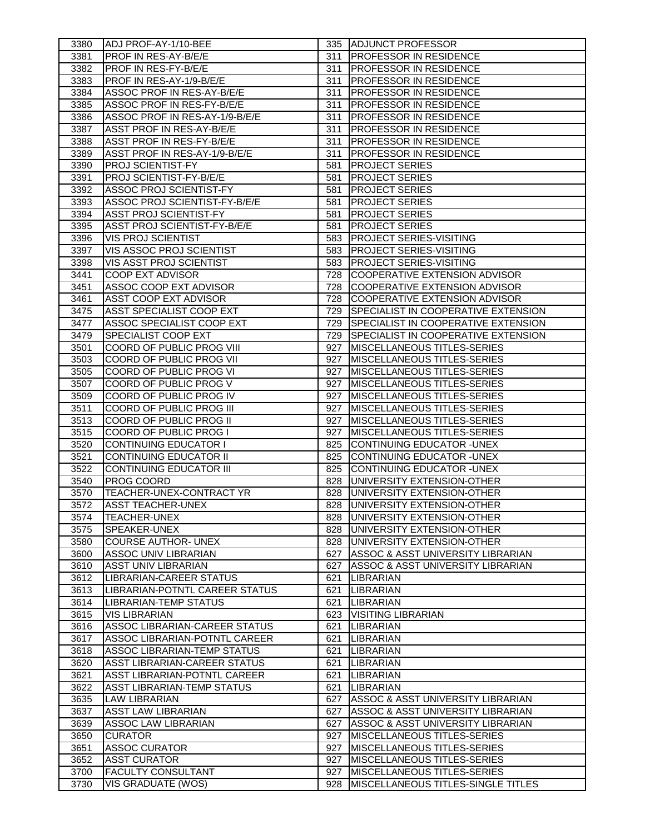| 3380 | ADJ PROF-AY-1/10-BEE                |     | 335 ADJUNCT PROFESSOR                      |
|------|-------------------------------------|-----|--------------------------------------------|
| 3381 | <b>PROF IN RES-AY-B/E/E</b>         | 311 | <b>PROFESSOR IN RESIDENCE</b>              |
| 3382 | <b>PROF IN RES-FY-B/E/E</b>         | 311 | <b>PROFESSOR IN RESIDENCE</b>              |
| 3383 | PROF IN RES-AY-1/9-B/E/E            | 311 | <b>PROFESSOR IN RESIDENCE</b>              |
| 3384 | ASSOC PROF IN RES-AY-B/E/E          | 311 | <b>PROFESSOR IN RESIDENCE</b>              |
| 3385 | ASSOC PROF IN RES-FY-B/E/E          | 311 | <b>PROFESSOR IN RESIDENCE</b>              |
| 3386 | ASSOC PROF IN RES-AY-1/9-B/E/E      | 311 | <b>PROFESSOR IN RESIDENCE</b>              |
| 3387 | ASST PROF IN RES-AY-B/E/E           | 311 | <b>PROFESSOR IN RESIDENCE</b>              |
| 3388 | ASST PROF IN RES-FY-B/E/E           | 311 | PROFESSOR IN RESIDENCE                     |
| 3389 | ASST PROF IN RES-AY-1/9-B/E/E       | 311 | <b>PROFESSOR IN RESIDENCE</b>              |
| 3390 | <b>PROJ SCIENTIST-FY</b>            | 581 | <b>PROJECT SERIES</b>                      |
| 3391 | PROJ SCIENTIST-FY-B/E/E             | 581 | <b>PROJECT SERIES</b>                      |
| 3392 | <b>ASSOC PROJ SCIENTIST-FY</b>      | 581 | <b>PROJECT SERIES</b>                      |
| 3393 | ASSOC PROJ SCIENTIST-FY-B/E/E       | 581 | <b>PROJECT SERIES</b>                      |
| 3394 | <b>ASST PROJ SCIENTIST-FY</b>       | 581 | <b>PROJECT SERIES</b>                      |
| 3395 | <b>ASST PROJ SCIENTIST-FY-B/E/E</b> | 581 | <b>PROJECT SERIES</b>                      |
| 3396 | <b>VIS PROJ SCIENTIST</b>           | 583 | <b>PROJECT SERIES-VISITING</b>             |
| 3397 | VIS ASSOC PROJ SCIENTIST            | 583 | <b>PROJECT SERIES-VISITING</b>             |
| 3398 | VIS ASST PROJ SCIENTIST             | 583 | <b>PROJECT SERIES-VISITING</b>             |
| 3441 | COOP EXT ADVISOR                    | 728 | <b>COOPERATIVE EXTENSION ADVISOR</b>       |
| 3451 | ASSOC COOP EXT ADVISOR              | 728 | COOPERATIVE EXTENSION ADVISOR              |
| 3461 | ASST COOP EXT ADVISOR               | 728 | COOPERATIVE EXTENSION ADVISOR              |
| 3475 | <b>ASST SPECIALIST COOP EXT</b>     | 729 | <b>SPECIALIST IN COOPERATIVE EXTENSION</b> |
| 3477 | ASSOC SPECIALIST COOP EXT           | 729 | <b>SPECIALIST IN COOPERATIVE EXTENSION</b> |
| 3479 | <b>SPECIALIST COOP EXT</b>          | 729 | <b>SPECIALIST IN COOPERATIVE EXTENSION</b> |
| 3501 | COORD OF PUBLIC PROG VIII           | 927 | <b>MISCELLANEOUS TITLES-SERIES</b>         |
| 3503 | COORD OF PUBLIC PROG VII            | 927 | MISCELLANEOUS TITLES-SERIES                |
| 3505 | COORD OF PUBLIC PROG VI             | 927 | MISCELLANEOUS TITLES-SERIES                |
| 3507 | COORD OF PUBLIC PROG V              | 927 | MISCELLANEOUS TITLES-SERIES                |
| 3509 | COORD OF PUBLIC PROG IV             | 927 | MISCELLANEOUS TITLES-SERIES                |
| 3511 | COORD OF PUBLIC PROG III            | 927 | MISCELLANEOUS TITLES-SERIES                |
| 3513 | COORD OF PUBLIC PROG II             | 927 | <b>MISCELLANEOUS TITLES-SERIES</b>         |
| 3515 | COORD OF PUBLIC PROG I              | 927 | MISCELLANEOUS TITLES-SERIES                |
| 3520 | <b>CONTINUING EDUCATOR I</b>        | 825 | CONTINUING EDUCATOR - UNEX                 |
| 3521 | <b>CONTINUING EDUCATOR II</b>       | 825 | CONTINUING EDUCATOR - UNEX                 |
| 3522 | <b>CONTINUING EDUCATOR III</b>      | 825 | CONTINUING EDUCATOR - UNEX                 |
| 3540 | PROG COORD                          | 828 | UNIVERSITY EXTENSION-OTHER                 |
| 3570 | TEACHER-UNEX-CONTRACT YR            | 828 | UNIVERSITY EXTENSION-OTHER                 |
| 3572 | <b>ASST TEACHER-UNEX</b>            | 828 | UNIVERSITY EXTENSION-OTHER                 |
| 3574 | <b>TEACHER-UNEX</b>                 |     | 828 UNIVERSITY EXTENSION-OTHER             |
| 3575 | SPEAKER-UNEX                        | 828 | UNIVERSITY EXTENSION-OTHER                 |
| 3580 | <b>COURSE AUTHOR- UNEX</b>          |     | 828 UNIVERSITY EXTENSION-OTHER             |
| 3600 | <b>ASSOC UNIV LIBRARIAN</b>         |     | 627 ASSOC & ASST UNIVERSITY LIBRARIAN      |
| 3610 | ASST UNIV LIBRARIAN                 | 627 | ASSOC & ASST UNIVERSITY LIBRARIAN          |
| 3612 | LIBRARIAN-CAREER STATUS             | 621 | <b>LIBRARIAN</b>                           |
| 3613 | LIBRARIAN-POTNTL CAREER STATUS      | 621 | <b>LIBRARIAN</b>                           |
| 3614 | <b>LIBRARIAN-TEMP STATUS</b>        | 621 | <b>LIBRARIAN</b>                           |
| 3615 | <b>VIS LIBRARIAN</b>                |     | 623 VISITING LIBRARIAN                     |
| 3616 | ASSOC LIBRARIAN-CAREER STATUS       | 621 | <b>LIBRARIAN</b>                           |
| 3617 | ASSOC LIBRARIAN-POTNTL CAREER       | 621 | <b>LIBRARIAN</b>                           |
| 3618 | <b>ASSOC LIBRARIAN-TEMP STATUS</b>  | 621 | LIBRARIAN                                  |
| 3620 | <b>ASST LIBRARIAN-CAREER STATUS</b> | 621 | <b>LIBRARIAN</b>                           |
| 3621 | ASST LIBRARIAN-POTNTL CAREER        | 621 | <b>LIBRARIAN</b>                           |
| 3622 | <b>ASST LIBRARIAN-TEMP STATUS</b>   | 621 | <b>LIBRARIAN</b>                           |
| 3635 | <b>LAW LIBRARIAN</b>                | 627 | ASSOC & ASST UNIVERSITY LIBRARIAN          |
| 3637 | <b>ASST LAW LIBRARIAN</b>           | 627 | ASSOC & ASST UNIVERSITY LIBRARIAN          |
| 3639 | ASSOC LAW LIBRARIAN                 | 627 | ASSOC & ASST UNIVERSITY LIBRARIAN          |
| 3650 | <b>CURATOR</b>                      | 927 | MISCELLANEOUS TITLES-SERIES                |
| 3651 | <b>ASSOC CURATOR</b>                | 927 | MISCELLANEOUS TITLES-SERIES                |
| 3652 | <b>ASST CURATOR</b>                 | 927 | MISCELLANEOUS TITLES-SERIES                |
| 3700 | <b>FACULTY CONSULTANT</b>           | 927 | MISCELLANEOUS TITLES-SERIES                |
| 3730 | VIS GRADUATE (WOS)                  | 928 | MISCELLANEOUS TITLES-SINGLE TITLES         |